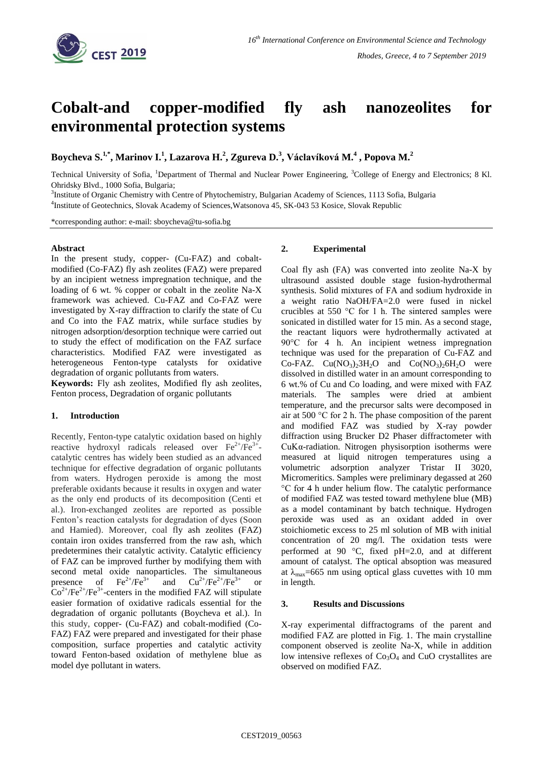

# **Cobalt-and copper-modified fly ash nanozeolites for environmental protection systems**

**Boycheva S. 1,\* , Marinov I.<sup>1</sup> , Lazarova H.<sup>2</sup> , Zgureva D. 3 , Václavíková M.<sup>4</sup> , Popova M.<sup>2</sup>**

Technical University of Sofia, <sup>1</sup>Department of Thermal and Nuclear Power Engineering, <sup>3</sup>College of Energy and Electronics; 8 Kl. Ohridsky Blvd., 1000 Sofia, Bulgaria;

<sup>3</sup>Institute of Organic Chemistry with Centre of Phytochemistry, Bulgarian Academy of Sciences, 1113 Sofia, Bulgaria 4 Institute of Geotechnics, Slovak Academy of Sciences,Watsonova 45, SK-043 53 Kosice, Slovak Republic

\*corresponding author: e-mail: sboycheva@tu-sofia.bg

### **Abstract**

In the present study, copper- (Cu-FAZ) and cobaltmodified (Co-FAZ) fly ash zeolites (FAZ) were prepared by an incipient wetness impregnation technique, and the loading of 6 wt. % copper or cobalt in the zeolite Na-X framework was achieved. Cu-FAZ and Co-FAZ were investigated by X-ray diffraction to clarify the state of Cu and Co into the FAZ matrix, while surface studies by nitrogen adsorption/desorption technique were carried out to study the effect of modification on the FAZ surface characteristics. Modified FAZ were investigated as heterogeneous Fenton-type catalysts for oxidative degradation of organic pollutants from waters.

**Keywords:** Fly ash zeolites, Modified fly ash zeolites, Fenton process, Degradation of organic pollutants

## **1. Introduction**

Recently, Fenton-type catalytic oxidation based on highly reactive hydroxyl radicals released over  $\text{Fe}^{2+}/\text{Fe}^{3+}$ catalytic centres has widely been studied as an advanced technique for effective degradation of organic pollutants from waters. Hydrogen peroxide is among the most preferable oxidants because it results in oxygen and water as the only end products of its decomposition (Centi et al.). Iron-exchanged zeolites are reported as possible Fenton's reaction catalysts for degradation of dyes (Soon and Hamied). Moreover, coal fly ash zeolites (FAZ) contain iron oxides transferred from the raw ash, which predetermines their catalytic activity. Catalytic efficiency of FAZ can be improved further by modifying them with second metal oxide nanoparticles. The simultaneous presence of  $\text{Fe}^{2+}/\text{Fe}^{3+}$  and  $\text{Cu}^{2+}/\text{Fe}^{2+}/\text{Fe}^{3+}$  or  $\text{Co}^{2+}/\text{Fe}^{2+}/\text{Fe}^{3+}$ -centers in the modified FAZ will stipulate easier formation of oxidative radicals essential for the degradation of organic pollutants (Boycheva et al.). In this study, copper- (Cu-FAZ) and cobalt-modified (Co-FAZ) FAZ were prepared and investigated for their phase composition, surface properties and catalytic activity toward Fenton-based oxidation of methylene blue as model dye pollutant in waters.

### **2. Experimental**

Coal fly ash (FA) was converted into zeolite Na-X by ultrasound assisted double stage fusion-hydrothermal synthesis. Solid mixtures of FA and sodium hydroxide in a weight ratio NaOH/FA=2.0 were fused in nickel crucibles at 550 °C for 1 h. The sintered samples were sonicated in distilled water for 15 min. As a second stage, the reactant liquors were hydrothermally activated at 90°C for 4 h. An incipient wetness impregnation technique was used for the preparation of Cu-FAZ and Co-FAZ.  $Cu(NO<sub>3</sub>)<sub>2</sub>3H<sub>2</sub>O$  and  $Co(NO<sub>3</sub>)<sub>2</sub>6H<sub>2</sub>O$  were dissolved in distilled water in an amount corresponding to 6 wt.% of Cu and Co loading, and were mixed with FAZ materials. The samples were dried at ambient temperature, and the precursor salts were decomposed in air at 500 °C for 2 h. The phase composition of the parent and modified FAZ was studied by X-ray powder diffraction using Brucker D2 Phaser diffractometer with CuK $\alpha$ -radiation. Nitrogen physisorption isotherms were measured at liquid nitrogen temperatures using a volumetric adsorption analyzer Tristar II 3020, Micromeritics. Samples were preliminary degassed at 260 °C for 4 h under helium flow. The catalytic performance of modified FAZ was tested toward methylene blue (MB) as a model contaminant by batch technique. Hydrogen peroxide was used as an oxidant added in over stoichiometic excess to 25 ml solution of MB with initial concentration of 20 mg/l. The oxidation tests were performed at 90  $^{\circ}$ C, fixed pH=2.0, and at different amount of catalyst. The optical absoption was measured at  $\lambda_{\text{max}}$ =665 nm using optical glass cuvettes with 10 mm in length.

### **3. Results and Discussions**

X-ray experimental diffractograms of the parent and modified FAZ are plotted in Fig. 1. The main crystalline component observed is zeolite Na-X, while in addition low intensive reflexes of  $Co<sub>3</sub>O<sub>4</sub>$  and CuO crystallites are observed on modified FAZ.